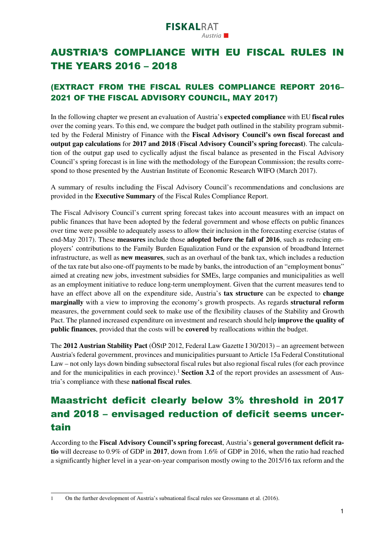## AUSTRIA'S COMPLIANCE WITH EU FISCAL RULES IN THE YEARS 2016 – 2018

#### (EXTRACT FROM THE FISCAL RULES COMPLIANCE REPORT 2016– 2021 OF THE FISCAL ADVISORY COUNCIL, MAY 2017)

In the following chapter we present an evaluation of Austria's **expected compliance** with EU **fiscal rules** over the coming years. To this end, we compare the budget path outlined in the stability program submitted by the Federal Ministry of Finance with the **Fiscal Advisory Council's own fiscal forecast and output gap calculations** for **2017 and 2018** (**Fiscal Advisory Council's spring forecast)**. The calculation of the output gap used to cyclically adjust the fiscal balance as presented in the Fiscal Advisory Council's spring forecast is in line with the methodology of the European Commission; the results correspond to those presented by the Austrian Institute of Economic Research WIFO (March 2017).

A summary of results including the Fiscal Advisory Council's recommendations and conclusions are provided in the **Executive Summary** of the Fiscal Rules Compliance Report.

The Fiscal Advisory Council's current spring forecast takes into account measures with an impact on public finances that have been adopted by the federal government and whose effects on public finances over time were possible to adequately assess to allow their inclusion in the forecasting exercise (status of end-May 2017). These **measures** include those **adopted before the fall of 2016**, such as reducing employers' contributions to the Family Burden Equalization Fund or the expansion of broadband Internet infrastructure, as well as **new measures**, such as an overhaul of the bank tax, which includes a reduction of the tax rate but also one-off payments to be made by banks, the introduction of an "employment bonus" aimed at creating new jobs, investment subsidies for SMEs, large companies and municipalities as well as an employment initiative to reduce long-term unemployment. Given that the current measures tend to have an effect above all on the expenditure side, Austria's **tax structure** can be expected to **change marginally** with a view to improving the economy's growth prospects. As regards **structural reform** measures, the government could seek to make use of the flexibility clauses of the Stability and Growth Pact. The planned increased expenditure on investment and research should help **improve the quality of public finances**, provided that the costs will be **covered** by reallocations within the budget.

The **2012 Austrian Stability Pact** (ÖStP 2012, Federal Law Gazette I 30/2013) – an agreement between Austria's federal government, provinces and municipalities pursuant to Article 15a Federal Constitutional Law – not only lays down binding subsectoral fiscal rules but also regional fiscal rules (for each province and for the municipalities in each province).<sup>1</sup> Section 3.2 of the report provides an assessment of Austria's compliance with these **national fiscal rules**.

## Maastricht deficit clearly below 3% threshold in 2017 and 2018 – envisaged reduction of deficit seems uncertain

According to the **Fiscal Advisory Council's spring forecast**, Austria's **general government deficit ratio** will decrease to 0.9% of GDP in **2017**, down from 1.6% of GDP in 2016, when the ratio had reached a significantly higher level in a year-on-year comparison mostly owing to the 2015/16 tax reform and the

<sup>1</sup> On the further development of Austria's subnational fiscal rules see Grossmann et al. (2016).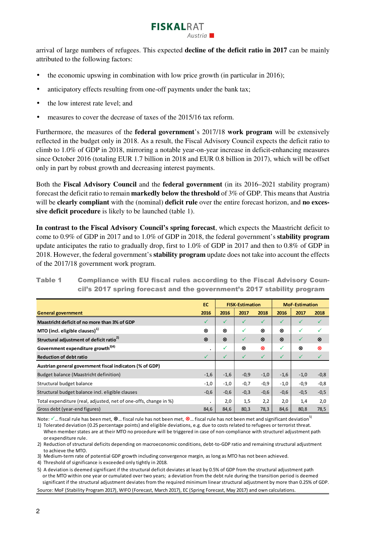

arrival of large numbers of refugees. This expected **decline of the deficit ratio in 2017** can be mainly attributed to the following factors:

- $\bullet$  the economic upswing in combination with low price growth (in particular in 2016);
- anticipatory effects resulting from one-off payments under the bank tax;
- the low interest rate level; and
- measures to cover the decrease of taxes of the 2015/16 tax reform.

Furthermore, the measures of the **federal government**'s 2017/18 **work program** will be extensively reflected in the budget only in 2018. As a result, the Fiscal Advisory Council expects the deficit ratio to climb to 1.0% of GDP in 2018, mirroring a notable year-on-year increase in deficit-enhancing measures since October 2016 (totaling EUR 1.7 billion in 2018 and EUR 0.8 billion in 2017), which will be offset only in part by robust growth and decreasing interest payments.

Both the **Fiscal Advisory Council** and the **federal government** (in its 2016–2021 stability program) forecast the deficit ratio to remain **markedly below the threshold** of 3% of GDP. This means that Austria will be **clearly compliant** with the (nominal) **deficit rule** over the entire forecast horizon, and **no excessive deficit procedure** is likely to be launched (table 1).

**In contrast to the Fiscal Advisory Council's spring forecast**, which expects the Maastricht deficit to come to 0.9% of GDP in 2017 and to 1.0% of GDP in 2018, the federal government's **stability program** update anticipates the ratio to gradually drop, first to 1.0% of GDP in 2017 and then to 0.8% of GDP in 2018. However, the federal government's **stability program** update does not take into account the effects of the 2017/18 government work program.

#### Table 1 Compliance with EU fiscal rules according to the Fiscal Advisory Council's 2017 spring forecast and the government's 2017 stability program

|                                                                  | EC         | <b>FISK-Estimation</b> |        |        | <b>MoF-Estimation</b> |              |        |
|------------------------------------------------------------------|------------|------------------------|--------|--------|-----------------------|--------------|--------|
| <b>General government</b>                                        | 2016       | 2016                   | 2017   | 2018   | 2016                  | 2017         | 2018   |
| Maastricht deficit of no more than 3% of GDP                     | ✓          | ✓                      |        | ✓      | ✓                     | ✓            |        |
| MTO (incl. eligible clauses) <sup>1)</sup>                       | 0          | 0                      | ✓      | ⊗      | ⊗                     | ✓            | ✓      |
| Structural adjustment of deficit ratio <sup>2)</sup>             | $^{\circ}$ | ⊗                      | ✓      | ⊗      | ⊗                     | ✓            | ⊗      |
| Government expenditure growth <sup>3)4)</sup>                    | ٠          | ✓                      | ⊗      | ⊗      | ✓                     | ⊗            | ⊗      |
| <b>Reduction of debt ratio</b>                                   | ✓          | ✓                      | ✓      | ✓      | ✓                     | $\checkmark$ | ✓      |
| Austrian general government fiscal indicators (% of GDP)         |            |                        |        |        |                       |              |        |
| Budget balance (Maastricht definition)                           | $-1,6$     | $-1,6$                 | $-0,9$ | $-1,0$ | $-1,6$                | $-1,0$       | $-0,8$ |
| Structural budget balance                                        | $-1,0$     | $-1,0$                 | $-0,7$ | $-0,9$ | $-1,0$                | $-0.9$       | $-0,8$ |
| Structural budget balance incl. eligible clauses                 | $-0,6$     | $-0,6$                 | $-0,3$ | $-0,6$ | $-0,6$                | $-0,5$       | $-0,5$ |
| Total expenditure (real, adjusted, net of one-offs, change in %) | $\bullet$  | 2,0                    | 1,5    | 2,2    | 2,0                   | 1,4          | 2,0    |
| Gross debt (year-end figures)                                    | 84,6       | 84,6                   | 80,3   | 78,3   | 84,6                  | 80,8         | 78,5   |

Note:  $\checkmark$  ... fiscal rule has been met,  $\otimes$  ... fiscal rule has not been met,  $\otimes$  ... fiscal rule has not been met and significant deviation  $^5$ 

1) Tolerated deviation (0.25 percentage points) and eligible deviations, e.g. due to costs related to refugees or terrorist threat. When member states are at their MTO no procedure will be triggered in case of non-compliance with structurel adjustment path or expenditure rule.

2) Reduction of structural deficits depending on macroeconomic conditions, debt-to-GDP ratio and remaining structural adjustment to achieve the MTO.

3) Medium-term rate of potential GDP growth including convergence margin, as long as MTO has not been achieved.

4) Threshold of significance is exceeded only tightly in 2018.

5) A deviation is deemed significant if the structural deficit deviates at least by 0.5% of GDP from the structural adjustment path or the MTO within one year or cumulated over two years; a deviation from the debt rule during the transition period is deemed significant if the structural adjustment deviates from the required minimum linear structural adjustment by more than 0.25% of GDP.

Source: MoF (Stability Program 2017), WIFO (Forecast, March 2017), EC (Spring Forecast, May 2017) and own calculations.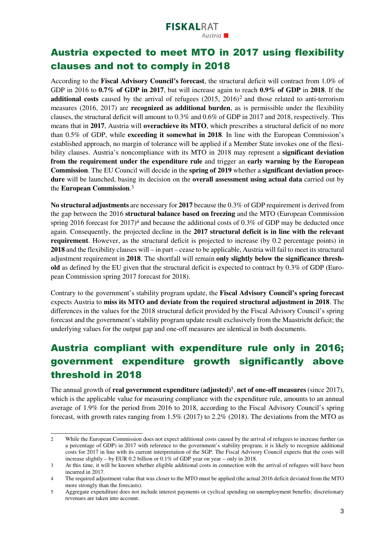### Austria expected to meet MTO in 2017 using flexibility clauses and not to comply in 2018

According to the **Fiscal Advisory Council's forecast**, the structural deficit will contract from 1.0% of GDP in 2016 to **0.7% of GDP in 2017**, but will increase again to reach **0.9% of GDP** in **2018**. If the **additional costs** caused by the arrival of refugees  $(2015, 2016)^2$  and those related to anti-terrorism measures (2016, 2017) are **recognized as additional burden**, as is permissible under the flexibility clauses, the structural deficit will amount to 0.3% and 0.6% of GDP in 2017 and 2018, respectively. This means that in **2017**, Austria will **overachieve its MTO**, which prescribes a structural deficit of no more than 0.5% of GDP, while **exceeding it somewhat in 2018**. In line with the European Commission's established approach, no margin of tolerance will be applied if a Member State invokes one of the flexibility clauses. Austria's noncompliance with its MTO in 2018 may represent a **significant deviation from the requirement under the expenditure rule** and trigger an **early warning by the European Commission**. The EU Council will decide in the **spring of 2019** whether a **significant deviation procedure** will be launched, basing its decision on the **overall assessment using actual data** carried out by the **European Commission**. 3

**No structural adjustments** are necessary for **2017** because the 0.3% of GDP requirement is derived from the gap between the 2016 **structural balance based on freezing** and the MTO (European Commission spring 2016 forecast for  $2017$ <sup>4</sup> and because the additional costs of 0.3% of GDP may be deducted once again. Consequently, the projected decline in the **2017 structural deficit is in line with the relevant requirement**. However, as the structural deficit is projected to increase (by 0.2 percentage points) in **2018** and the flexibility clauses will – in part – cease to be applicable, Austria will fail to meet its structural adjustment requirement in **2018**. The shortfall will remain **only slightly below the significance threshold** as defined by the EU given that the structural deficit is expected to contract by 0.3% of GDP (European Commission spring 2017 forecast for 2018).

Contrary to the government's stability program update, the **Fiscal Advisory Council's spring forecast** expects Austria to **miss its MTO and deviate from the required structural adjustment in 2018**. The differences in the values for the 2018 structural deficit provided by the Fiscal Advisory Council's spring forecast and the government's stability program update result exclusively from the Maastricht deficit; the underlying values for the output gap and one-off measures are identical in both documents.

### Austria compliant with expenditure rule only in 2016; government expenditure growth significantly above threshold in 2018

The annual growth of **real government expenditure (adjusted)**5, **net of one-off measures** (since 2017), which is the applicable value for measuring compliance with the expenditure rule, amounts to an annual average of 1.9% for the period from 2016 to 2018, according to the Fiscal Advisory Council's spring forecast, with growth rates ranging from 1.5% (2017) to 2.2% (2018). The deviations from the MTO as

<sup>2</sup> While the European Commission does not expect additional costs caused by the arrival of refugees to increase further (as a percentage of GDP) in 2017 with reference to the government's stability program, it is likely to recognize additional costs for 2017 in line with its current interpretation of the SGP. The Fiscal Advisory Council expects that the costs will increase slightly – by EUR 0.2 billion or 0.1% of GDP year on year – only in 2018.

<sup>3</sup> At this time, it will be known whether eligible additional costs in connection with the arrival of refugees will have been incurred in 2017.

<sup>4</sup> The required adjustment value that was closer to the MTO must be applied (the actual 2016 deficit deviated from the MTO more strongly than the forecasts).

<sup>5</sup> Aggregate expenditure does not include interest payments or cyclical spending on unemployment benefits; discretionary revenues are taken into account.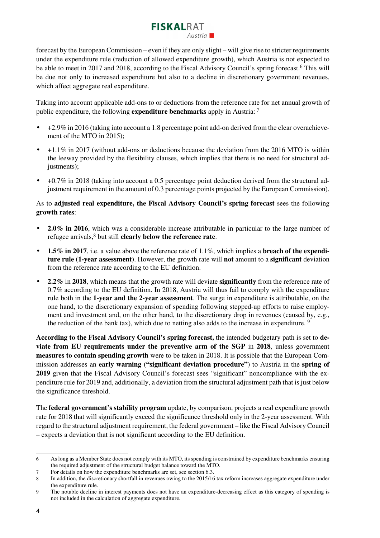# **FISKALRAT**

forecast by the European Commission – even if they are only slight – will give rise to stricter requirements under the expenditure rule (reduction of allowed expenditure growth), which Austria is not expected to be able to meet in 2017 and 2018, according to the Fiscal Advisory Council's spring forecast.6 This will be due not only to increased expenditure but also to a decline in discretionary government revenues, which affect aggregate real expenditure.

Taking into account applicable add-ons to or deductions from the reference rate for net annual growth of public expenditure, the following **expenditure benchmarks** apply in Austria:<sup>7</sup>

- +2.9% in 2016 (taking into account a 1.8 percentage point add-on derived from the clear overachievement of the MTO in 2015);
- +1.1% in 2017 (without add-ons or deductions because the deviation from the 2016 MTO is within the leeway provided by the flexibility clauses, which implies that there is no need for structural adjustments);
- +0.7% in 2018 (taking into account a 0.5 percentage point deduction derived from the structural adjustment requirement in the amount of 0.3 percentage points projected by the European Commission).

#### As to **adjusted real expenditure, the Fiscal Advisory Council's spring forecast** sees the following **growth rates**:

- **2.0% in 2016**, which was a considerable increase attributable in particular to the large number of refugee arrivals,8 but still **clearly below the reference rate**.
- **1.5% in 2017**, i.e. a value above the reference rate of 1.1%, which implies a **breach of the expenditure rule (1-year assessment)**. However, the growth rate will **not** amount to a **significant** deviation from the reference rate according to the EU definition.
- **2.2%** in **2018**, which means that the growth rate will deviate **significantly** from the reference rate of 0.7% according to the EU definition. In 2018, Austria will thus fail to comply with the expenditure rule both in the **1-year and the 2-year assessment**. The surge in expenditure is attributable, on the one hand, to the discretionary expansion of spending following stepped-up efforts to raise employment and investment and, on the other hand, to the discretionary drop in revenues (caused by, e.g., the reduction of the bank tax), which due to netting also adds to the increase in expenditure. <sup>9</sup>

**According to the Fiscal Advisory Council's spring forecast,** the intended budgetary path is set to **deviate from EU requirements under the preventive arm of the SGP** in **2018**, unless government **measures to contain spending growth** were to be taken in 2018. It is possible that the European Commission addresses an **early warning** (**"significant deviation procedure"**) to Austria in the **spring of 2019** given that the Fiscal Advisory Council's forecast sees "significant" noncompliance with the expenditure rule for 2019 and, additionally, a deviation from the structural adjustment path that is just below the significance threshold.

The **federal government's stability program** update, by comparison, projects a real expenditure growth rate for 2018 that will significantly exceed the significance threshold only in the 2-year assessment. With regard to the structural adjustment requirement, the federal government – like the Fiscal Advisory Council – expects a deviation that is not significant according to the EU definition.

<sup>6</sup> As long as a Member State does not comply with its MTO, its spending is constrained by expenditure benchmarks ensuring the required adjustment of the structural budget balance toward the MTO.

<sup>7</sup> For details on how the expenditure benchmarks are set, see section 6.3.

<sup>8</sup> In addition, the discretionary shortfall in revenues owing to the 2015/16 tax reform increases aggregate expenditure under the expenditure rule.

<sup>9</sup> The notable decline in interest payments does not have an expenditure-decreasing effect as this category of spending is not included in the calculation of aggregate expenditure.